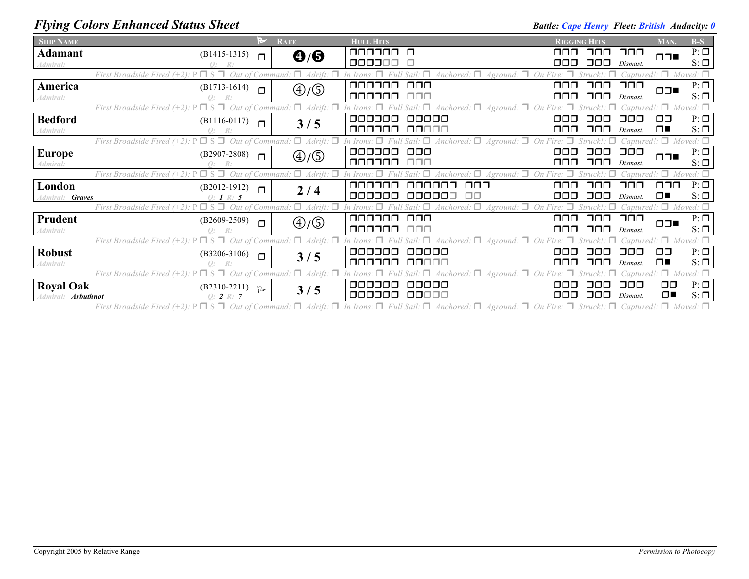## *Flying Colors Enhanced Status Sheet* **Battle:** *Cape Henry Fleet: British Audacity:* 0

| <b>SHIP NAME</b>          |                                                                      | ⊵∕           | <b>RATE</b>                       | <b>HULL HITS</b> |                                                      | <b>RIGGING HITS</b> |                  |                   | MAN.          | $B-S$            |
|---------------------------|----------------------------------------------------------------------|--------------|-----------------------------------|------------------|------------------------------------------------------|---------------------|------------------|-------------------|---------------|------------------|
| <b>Adamant</b>            | $(B1415-1315)$                                                       | $\Box$       | $\mathbf{Q}/\mathbf{G}$           | 000000           | $\Box$                                               | ⊓⊓⊓                 | 000              | 000               | $\Box$        | $P: \Box$        |
| Admiral:                  |                                                                      |              |                                   | 000000           |                                                      | ⊓⊓⊓                 | $\Box \Box \Box$ | Dismast.          |               | $S: \Box$        |
|                           | First Broadside Fired<br>Out                                         |              | $\Box$<br><i>Command</i>          |                  | Anchored: $\square$<br>$A$ ground: $\Box$            |                     |                  | Captured!: $\Box$ |               | $Moved: \Box$    |
| America                   | $(B1713-1614)$                                                       | $\Box$       | $\textcircled{4}/\textcircled{5}$ | 000000           | $\Box$ $\Box$                                        | 000                 | ooo              | $\Box \Box \Box$  | $\Box$        | $P: \Box$        |
| Admiral:                  |                                                                      |              |                                   | 000000           | 88 A S                                               | 000                 | $\Box$ $\Box$    | Dismast.          |               | $S: \Box$        |
|                           | $\Box$ S $\Box$<br>Out of Command:<br>First Broadside Fired $(+2)$ : |              | $\Box$ Adrift:                    |                  | Anchored: $\Box$ Aground: $\Box$<br>$\Box$<br>On     | Fire:               |                  | Captured!: $\Box$ |               | $Moved: \Box$    |
| <b>Bedford</b>            | $(B1116-0117)$                                                       | $\Box$       | 3/5                               | 000000           | 00000                                                | OOO                 | OOO              | $\Box$ $\Box$     | $\Box$ $\Box$ | $P: \Box$        |
| Admiral:                  | R:                                                                   |              |                                   | 000000           | 00000                                                | 000                 | 000              | Dismast.          | $\Box$        | $S: \Box$        |
|                           | First Broadside                                                      |              |                                   |                  | Anchored:                                            |                     |                  |                   |               |                  |
| <b>Europe</b>             | $(B2907-2808)$                                                       | $\Box$       | $\bigoplus/\bigoplus$             | aaaaaa           | $\Box$ $\Box$                                        | 000                 | OOO              | $\Box$ $\Box$     | $\Box$        | $P: \Box$        |
| Admiral:                  | R:                                                                   |              |                                   | ooooo            | ⊓⊓⊓                                                  | ⊓⊓⊓                 | ooo              | Dismast.          |               | $S: \Box$        |
|                           | First Broadside Fired                                                | Command      | П.                                |                  | A ground                                             |                     |                  |                   |               | $Moved: \Box$    |
| London                    | $(B2012-1912)$                                                       | $\Box$       |                                   | aaaaaa           | 000<br>aaaaaa                                        | 000                 | OOO              | $\Box$ $\Box$     | 000           | $P: \Box$        |
| Admiral: Graves           | 0: 1 R: 5                                                            |              | 2/4                               | 000000           | 000001<br>⊓⊓                                         | 000                 | $\Box$ $\Box$    | Dismast.          | $\Box$        | $S: \Box$        |
|                           | First Broadside Fired                                                |              |                                   |                  | $\Delta$ Anchored: $\Box$<br>$A ground: \Box$        | Fire:               |                  | 'antured          | $\cdot \Box$  | $Moved: \Box$    |
| Prudent                   | $(B2609-2509)$                                                       | $\Box$       | $\bigoplus/\bigoplus$             | 000000           | $\Box$ $\Box$ $\Box$                                 | OOO                 | $\Box$ $\Box$    | $\Box$ $\Box$     | $\Box$        | $P: \Box$        |
| Admiral:                  | R:                                                                   |              |                                   | 000000           | ooo                                                  | ⊓⊓⊓                 | $\Box \Box \Box$ | Dismast.          |               | $S: \Box$        |
|                           | First Broadside Fired                                                |              |                                   |                  | Anchored: $\Box$<br>Aground:                         |                     |                  | aptured!          |               | Moved: $\square$ |
| <b>Robust</b>             | $(B3206-3106)$                                                       |              |                                   | 000000           | 00000                                                | OOO                 | OOO              | $\Box$ $\Box$     | $\Box$ $\Box$ | $P: \Box$        |
| Admiral:                  |                                                                      | $\Box$       | 3/5                               | 000000           | 00000                                                | ⊓⊓⊓                 | ⊓⊓⊓              | Dismast.          | $\Box$        | $S: \Box$        |
|                           | First Broadside Fired $(+2)$ .                                       |              | П.<br>° Command<br>Adrift.        |                  | $A ground: \Box$<br>$\Delta$ <i>nchored</i> : $\Box$ | ire:                |                  | Captured!: $\Box$ |               | $Moved: \Box$    |
| <b>Royal Oak</b>          | $(B2310-2211)$                                                       |              |                                   | aaaaaa           | 00000                                                | 000                 | $\Box$ $\Box$    | $\Box$ $\Box$     | $\Box$ $\Box$ | $P: \Box$        |
| Admiral: <b>Arbuthnot</b> | Q: 2 R: 7                                                            | $\mathbb{R}$ | 3/5                               | 000000           | 00000                                                | 000                 | $\Box$ $\Box$    | Dismast.          | $\Box$        | $S: \Box$        |
|                           |                                                                      |              |                                   |                  |                                                      |                     |                  |                   |               |                  |

First Broadside Fired (+2):  $P \Box S \Box$  Out of Command:  $\Box$  Adrift:  $\Box$  In Irons:  $\Box$  Full Sail:  $\Box$  Anchored:  $\Box$  Aground:  $\Box$  On Fire:  $\Box$  Struck!:  $\Box$  Captured!:  $\Box$  Moved:  $\Box$